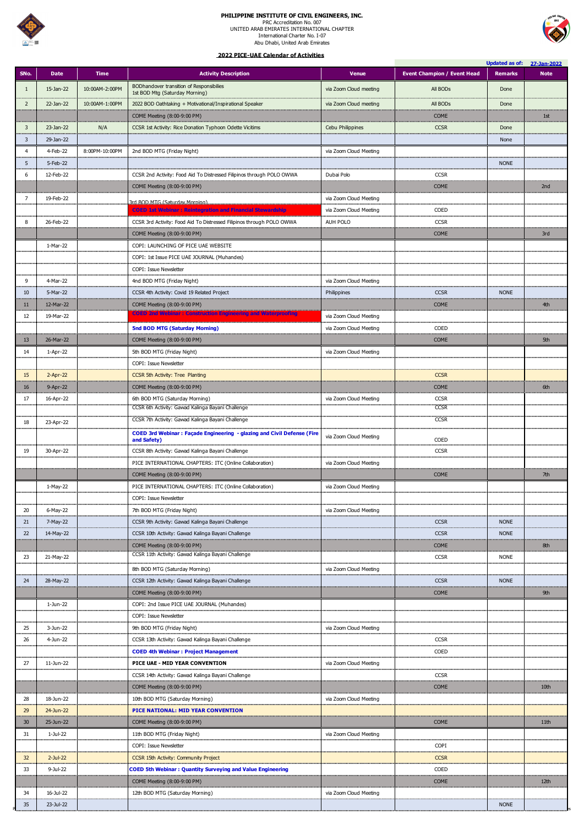

## **PHILIPPINE INSTITUTE OF CIVIL ENGINEERS, INC.**

PRC Accreditation No. 007 UNITED ARAB EMIRATES INTERNATIONAL CHAPTER International Charter No. I-07 Abu Dhabi, United Arab Emirates



|                  |                 |                |                                                                                              |                        |                                    |                | Updated as of: 27-Jan-2022 |
|------------------|-----------------|----------------|----------------------------------------------------------------------------------------------|------------------------|------------------------------------|----------------|----------------------------|
| SNo.             | <b>Date</b>     | <b>Time</b>    | <b>Activity Description</b>                                                                  | <b>Venue</b>           | <b>Event Champion / Event Head</b> | <b>Remarks</b> | <b>Note</b>                |
| -1               | 15-Jan-22       | 10:00AM-2:00PM | BODhandover transition of Responsibilies<br>1st BOD Mtg (Saturday Morning)                   | via Zoom Cloud meeting | All BODs                           | Done           |                            |
|                  |                 |                |                                                                                              |                        |                                    |                |                            |
| 2                | 22-Jan-22       | 10:00AM-1:00PM | 2022 BOD Oathtaking + Motivational/Inspirational Speaker                                     | via Zoom Cloud meeting | All BOD <sub>S</sub>               | Done           |                            |
|                  |                 |                | COME Meeting (8:00-9:00 PM)                                                                  |                        | <b>COME</b>                        |                | 1st                        |
| 3                | $23$ -Jan- $22$ | N/A            | CCSR 1st Activity: Rice Donation Typhoon Odette Vicitims                                     | Cebu Philippines       | <b>CCSR</b>                        | Done           |                            |
| 3                | 29-Jan-22       |                |                                                                                              |                        |                                    | None           |                            |
| 4<br>والمتعادلات | 4-Feb-22        | 8:00PM-10:00PM | 2nd BOD MTG (Friday Night)                                                                   | via Zoom Cloud Meeting |                                    |                |                            |
| 5                | 5-Feb-22        |                |                                                                                              |                        |                                    | <b>NONE</b>    |                            |
| 6                | 12-Feb-22       |                | CCSR 2nd Activity: Food Aid To Distressed Filipinos through POLO OWWA                        | Dubai Polo             | <b>CCSR</b>                        |                |                            |
|                  |                 |                | COME Meeting (8:00-9:00 PM)                                                                  |                        | <b>COME</b>                        |                | 2nd                        |
|                  | 19-Feb-22       |                | 3rd BOD MTG (Saturday Morning).                                                              | via Zoom Cloud Meeting |                                    |                |                            |
|                  |                 |                | <b>COED 1st Webinar: Reintegration and Financial Stewardship</b>                             | via Zoom Cloud Meeting | COED                               |                |                            |
| 8                | 26-Feb-22       |                | CCSR 3rd Activity: Food Aid To Distressed Filipinos through POLO OWWA                        | AUH POLO               | <b>CCSR</b>                        |                |                            |
|                  |                 |                | COME Meeting (8:00-9:00 PM)                                                                  |                        | <b>COME</b>                        |                | 3rd                        |
|                  | 1-Mar-22        |                | COPI: LAUNCHING OF PICE UAE WEBSITE                                                          |                        |                                    |                |                            |
|                  |                 |                | COPI: 1st Issue PICE UAE JOURNAL (Muhandes)                                                  |                        |                                    |                |                            |
|                  |                 |                | COPI: Issue Newsletter                                                                       |                        |                                    |                |                            |
| 9                | 4-Mar-22        |                | 4nd BOD MTG (Friday Night)                                                                   | via Zoom Cloud Meeting |                                    |                |                            |
| 10               | 5-Mar-22        |                | CCSR 4th Activity: Covid 19 Related Project                                                  | Philippines            | <b>CCSR</b>                        | <b>NONE</b>    |                            |
| .<br>11          | 12-Mar-22       |                | COME Meeting (8:00-9:00 PM)                                                                  |                        | <b>COME</b>                        |                | 4th                        |
| 12               | 19-Mar-22       |                | <b>COED 2nd Webinar : Construction Engineering and Waterproofing</b>                         | via Zoom Cloud Meeting |                                    |                |                            |
|                  |                 |                | <b>5nd BOD MTG (Saturday Morning)</b>                                                        | via Zoom Cloud Meeting | <b>COED</b>                        |                |                            |
|                  |                 |                |                                                                                              |                        |                                    |                |                            |
| 13               | 26-Mar-22       |                | COME Meeting (8:00-9:00 PM)                                                                  |                        | <b>COME</b>                        |                | 5th                        |
| 14               | 1-Apr-22        |                | 5th BOD MTG (Friday Night)                                                                   | via Zoom Cloud Meeting |                                    |                |                            |
|                  |                 |                | COPI: Issue Newsletter                                                                       |                        |                                    |                |                            |
| 15               | $2-Apr-22$      |                | CCSR 5th Activity: Tree Planting                                                             |                        | <b>CCSR</b>                        |                |                            |
| 16               | 9-Apr-22        |                | COME Meeting (8:00-9:00 PM)                                                                  |                        | <b>COME</b>                        |                | 6th                        |
| 17               | 16-Apr-22       |                | 6th BOD MTG (Saturday Morning)                                                               | via Zoom Cloud Meeting | <b>CCSR</b><br><b>CCSR</b>         |                |                            |
|                  |                 |                | CCSR 6th Activity: Gawad Kalinga Bayani Challenge                                            |                        |                                    |                |                            |
| 18               | 23-Apr-22       |                | CCSR 7th Activity: Gawad Kalinga Bayani Challenge                                            |                        | <b>CCSR</b>                        |                |                            |
|                  |                 |                | <b>COED 3rd Webinar: Façade Engineering - glazing and Civil Defense (Fire</b><br>and Safety) | via Zoom Cloud Meeting | COED                               |                |                            |
| 19               | 30-Apr-22       |                | CCSR 8th Activity: Gawad Kalinga Bayani Challenge                                            |                        | <b>CCSR</b>                        |                |                            |
|                  |                 |                | PICE INTERNATIONAL CHAPTERS: ITC (Online Collaboration)                                      | via Zoom Cloud Meeting |                                    |                |                            |
|                  |                 |                | COME Meeting (8:00-9:00 PM)                                                                  |                        | <b>COME</b>                        |                | 7th                        |
|                  |                 |                |                                                                                              |                        |                                    |                |                            |
|                  | 1-May-22        |                | PICE INTERNATIONAL CHAPTERS: ITC (Online Collaboration)                                      | via Zoom Cloud Meeting |                                    |                |                            |
|                  |                 |                | <b>COPI: Issue Newsletter</b>                                                                |                        |                                    |                |                            |
| 20               | 6-May-22        |                | 7th BOD MTG (Friday Night)                                                                   | via Zoom Cloud Meeting |                                    |                |                            |
| 21               | 7-May-22        |                | CCSR 9th Activity: Gawad Kalinga Bayani Challenge                                            |                        | <b>CCSR</b>                        | <b>NONE</b>    |                            |
| 22               | 14-May-22       |                | CCSR 10th Activity: Gawad Kalinga Bayani Challenge                                           |                        | <b>CCSR</b>                        | <b>NONE</b>    |                            |
|                  |                 |                | COME Meeting (8:00-9:00 PM)<br>CCSR 11th Activity: Gawad Kalinga Bayani Challenge            |                        | <b>COME</b>                        |                | 8th                        |
| 23               | 21-May-22       |                |                                                                                              |                        | <b>CCSR</b>                        | <b>NONE</b>    |                            |
|                  |                 |                | 8th BOD MTG (Saturday Morning)                                                               | via Zoom Cloud Meeting |                                    |                |                            |
| 24               | 28-May-22       |                | CCSR 12th Activity: Gawad Kalinga Bayani Challenge                                           |                        | <b>CCSR</b>                        | <b>NONE</b>    |                            |
|                  |                 |                | COME Meeting (8:00-9:00 PM)                                                                  |                        | <b>COME</b>                        |                | 9th                        |
|                  | 1-Jun-22        |                | COPI: 2nd Issue PICE UAE JOURNAL (Muhandes)                                                  |                        |                                    |                |                            |
|                  |                 |                | <b>COPI: Issue Newsletter</b><br>                                                            |                        |                                    |                |                            |
| 25               | 3-Jun-22        |                | 9th BOD MTG (Friday Night)<br>                                                               | via Zoom Cloud Meeting |                                    |                |                            |
| 26               | 4-Jun-22        |                | CCSR 13th Activity: Gawad Kalinga Bayani Challenge                                           |                        | <b>CCSR</b>                        |                |                            |
|                  |                 |                | <b>COED 4th Webinar: Project Management</b>                                                  |                        | <b>COED</b>                        |                |                            |
| 27               | 11-Jun-22       |                | PICE UAE - MID YEAR CONVENTION                                                               | via Zoom Cloud Meeting |                                    |                |                            |
|                  |                 |                | CCSR 14th Activity: Gawad Kalinga Bayani Challenge                                           |                        | <b>CCSR</b>                        |                |                            |
|                  |                 |                | COME Meeting (8:00-9:00 PM)                                                                  |                        | <b>COME</b>                        |                | 10th                       |
| 28               | 18-Jun-22       |                | 10th BOD MTG (Saturday Morning)                                                              | via Zoom Cloud Meeting |                                    |                |                            |
| 29               | 24-Jun-22       |                | <b>PICE NATIONAL: MID YEAR CONVENTION</b>                                                    |                        |                                    |                |                            |
| 30 <sup>°</sup>  | 25-Jun-22       |                | COME Meeting (8:00-9:00 PM)                                                                  |                        | <b>COME</b>                        |                | 11th                       |
| 31               | 1-Jul-22        |                | 11th BOD MTG (Friday Night)                                                                  | via Zoom Cloud Meeting |                                    |                |                            |
|                  |                 |                |                                                                                              |                        |                                    |                |                            |
|                  |                 |                | <b>COPI: Issue Newsletter</b>                                                                |                        | <b>COPI</b>                        |                |                            |
| 32               | $2-Ju-22$       |                | <b>CCSR 15th Activity: Community Project</b>                                                 |                        | <b>CCSR</b>                        |                |                            |
| 33               | 9-Jul-22        |                | <b>COED 5th Webinar: Quantity Surveying and Value Engineering</b>                            |                        | COED                               |                |                            |
|                  |                 |                | COME Meeting (8:00-9:00 PM)                                                                  |                        | <b>COME</b>                        |                | 12th                       |
| 34               | 16-Jul-22       |                | 12th BOD MTG (Saturday Morning)                                                              | via Zoom Cloud Meeting |                                    |                |                            |
| 35               | 23-Jul-22       |                |                                                                                              |                        |                                    | <b>NONE</b>    |                            |

 **2022 PICE-UAE Calendar of Activities**